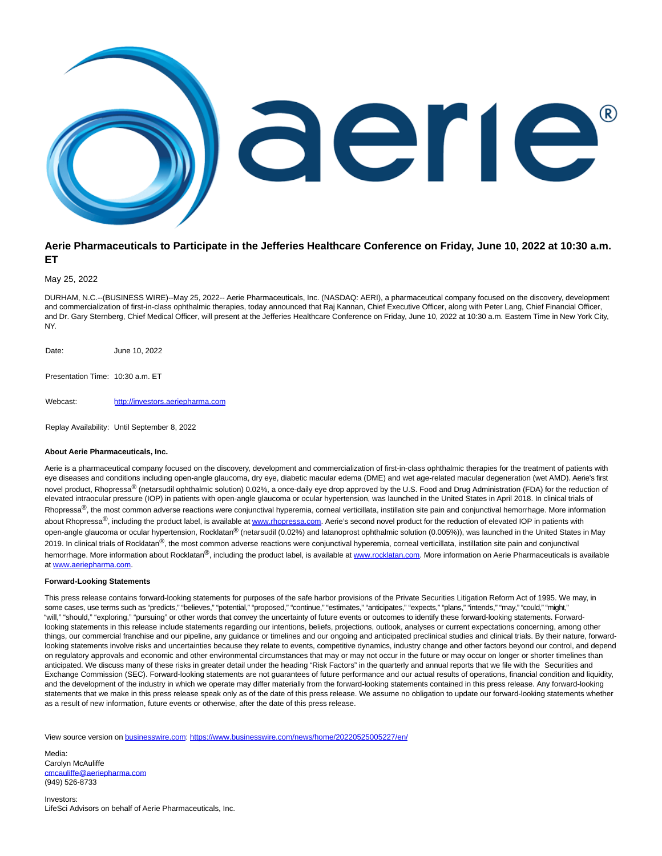

## **Aerie Pharmaceuticals to Participate in the Jefferies Healthcare Conference on Friday, June 10, 2022 at 10:30 a.m. ET**

May 25, 2022

DURHAM, N.C.--(BUSINESS WIRE)--May 25, 2022-- Aerie Pharmaceuticals, Inc. (NASDAQ: AERI), a pharmaceutical company focused on the discovery, development and commercialization of first-in-class ophthalmic therapies, today announced that Raj Kannan, Chief Executive Officer, along with Peter Lang, Chief Financial Officer, and Dr. Gary Sternberg, Chief Medical Officer, will present at the Jefferies Healthcare Conference on Friday, June 10, 2022 at 10:30 a.m. Eastern Time in New York City, NY.

Date: June 10, 2022

Presentation Time: 10:30 a.m. ET

Webcast: [http://investors.aeriepharma.com](https://cts.businesswire.com/ct/CT?id=smartlink&url=http%3A%2F%2Finvestors.aeriepharma.com&esheet=52730041&newsitemid=20220525005227&lan=en-US&anchor=http%3A%2F%2Finvestors.aeriepharma.com&index=1&md5=834c912dfe5736780327204ce466f4d2)

Replay Availability: Until September 8, 2022

## **About Aerie Pharmaceuticals, Inc.**

Aerie is a pharmaceutical company focused on the discovery, development and commercialization of first-in-class ophthalmic therapies for the treatment of patients with eye diseases and conditions including open-angle glaucoma, dry eye, diabetic macular edema (DME) and wet age-related macular degeneration (wet AMD). Aerie's first novel product, Rhopressa<sup>®</sup> (netarsudil ophthalmic solution) 0.02%, a once-daily eye drop approved by the U.S. Food and Drug Administration (FDA) for the reduction of elevated intraocular pressure (IOP) in patients with open-angle glaucoma or ocular hypertension, was launched in the United States in April 2018. In clinical trials of Rhopressa®, the most common adverse reactions were conjunctival hyperemia, corneal verticillata, instillation site pain and conjunctival hemorrhage. More information about Rhopressa<sup>®</sup>, including the product label, is available at [www.rhopressa.com.](https://cts.businesswire.com/ct/CT?id=smartlink&url=http%3A%2F%2Fwww.rhopressa.com&esheet=52730041&newsitemid=20220525005227&lan=en-US&anchor=www.rhopressa.com&index=2&md5=68f6adadb6c72f636b3428aefa6abc44) Aerie's second novel product for the reduction of elevated IOP in patients with open-angle glaucoma or ocular hypertension, Rocklatan<sup>®</sup> (netarsudil (0.02%) and latanoprost ophthalmic solution (0.005%)), was launched in the United States in May 2019. In clinical trials of Rocklatan®, the most common adverse reactions were conjunctival hyperemia, corneal verticillata, instillation site pain and conjunctival hemorrhage. More information about Rocklatan®, including the product label, is available a[t www.rocklatan.com.](https://cts.businesswire.com/ct/CT?id=smartlink&url=http%3A%2F%2Fwww.rocklatan.com&esheet=52730041&newsitemid=20220525005227&lan=en-US&anchor=www.rocklatan.com&index=3&md5=6c0cc20b232b98d960c7a095336eeab1) More information on Aerie Pharmaceuticals is available a[t www.aeriepharma.com.](https://cts.businesswire.com/ct/CT?id=smartlink&url=http%3A%2F%2Fwww.aeriepharma.com&esheet=52730041&newsitemid=20220525005227&lan=en-US&anchor=www.aeriepharma.com&index=4&md5=c4b1887a0c364a39b6f32dda98be3fec)

## **Forward-Looking Statements**

This press release contains forward-looking statements for purposes of the safe harbor provisions of the Private Securities Litigation Reform Act of 1995. We may, in some cases, use terms such as "predicts," "believes," "potential," "proposed," "continue," "estimates," "anticipates," "expects," "plans," "intends," "may," "could," "might," "will," "should," "exploring," "pursuing" or other words that convey the uncertainty of future events or outcomes to identify these forward-looking statements. Forwardlooking statements in this release include statements regarding our intentions, beliefs, projections, outlook, analyses or current expectations concerning, among other things, our commercial franchise and our pipeline, any guidance or timelines and our ongoing and anticipated preclinical studies and clinical trials. By their nature, forwardlooking statements involve risks and uncertainties because they relate to events, competitive dynamics, industry change and other factors beyond our control, and depend on regulatory approvals and economic and other environmental circumstances that may or may not occur in the future or may occur on longer or shorter timelines than anticipated. We discuss many of these risks in greater detail under the heading "Risk Factors" in the quarterly and annual reports that we file with the Securities and Exchange Commission (SEC). Forward-looking statements are not guarantees of future performance and our actual results of operations, financial condition and liquidity, and the development of the industry in which we operate may differ materially from the forward-looking statements contained in this press release. Any forward-looking statements that we make in this press release speak only as of the date of this press release. We assume no obligation to update our forward-looking statements whether as a result of new information, future events or otherwise, after the date of this press release.

View source version on [businesswire.com:](http://businesswire.com/)<https://www.businesswire.com/news/home/20220525005227/en/>

Media: Carolyn McAuliffe [cmcauliffe@aeriepharma.com](mailto:cmcauliffe@aeriepharma.com) (949) 526-8733

Investors: LifeSci Advisors on behalf of Aerie Pharmaceuticals, Inc.